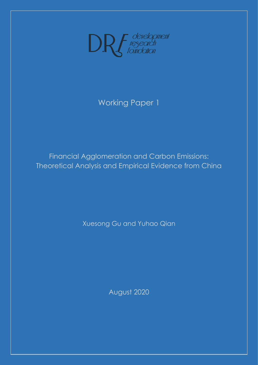

# Working Paper 1

Financial Agglomeration and Carbon Emissions: Theoretical Analysis and Empirical Evidence from China

Xuesong Gu and Yuhao Qian

August 2020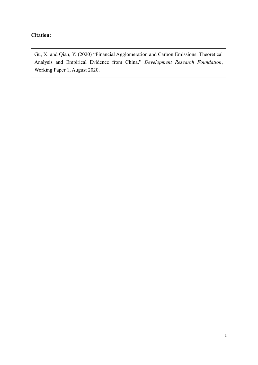## **Citation:**

Gu, X. and Qian, Y. (2020) "Financial Agglomeration and Carbon Emissions: Theoretical Analysis and Empirical Evidence from China." *Development Research Foundation*, Working Paper 1, August 2020.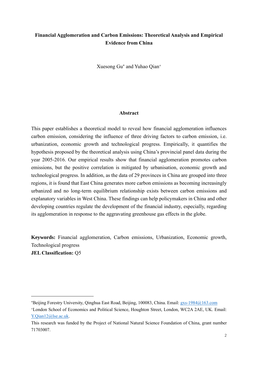# **Financial Agglomeration and Carbon Emissions: Theoretical Analysis and Empirical Evidence from China**

Xuesong Gu<sup>\*</sup> and Yuhao Qian<sup>+</sup>

#### **Abstract**

This paper establishes a theoretical model to reveal how financial agglomeration influences carbon emission, considering the influence of three driving factors to carbon emission, i.e. urbanization, economic growth and technological progress. Empirically, it quantifies the hypothesis proposed by the theoretical analysis using China's provincial panel data during the year 2005-2016. Our empirical results show that financial agglomeration promotes carbon emissions, but the positive correlation is mitigated by urbanisation, economic growth and technological progress. In addition, as the data of 29 provinces in China are grouped into three regions, it is found that East China generates more carbon emissions as becoming increasingly urbanized and no long-term equilibrium relationship exists between carbon emissions and explanatory variables in West China. These findings can help policymakers in China and other developing countries regulate the development of the financial industry, especially, regarding its agglomeration in response to the aggravating greenhouse gas effects in the globe.

**Keywords:** Financial agglomeration, Carbon emissions, Urbanization, Economic growth, Technological progress **JEL Classification:** Q5

Beijing Forestry University, Qinghua East Road, Beijing, 100083, China. Email: [gxs-1984@163.com](mailto:gxs-1984@163.com)

<sup>+</sup>London School of Economics and Political Science, Houghton Street, London, WC2A 2AE, UK. Email: [Y.Qian12@lse.ac.uk.](mailto:Y.Qian12@lse.ac.uk)

This research was funded by the Project of National Natural Science Foundation of China, grant number 71703007.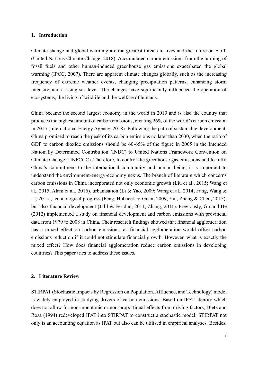## **1. Introduction**

Climate change and global warming are the greatest threats to lives and the future on Earth (United Nations Climate Change, 2018). Accumulated carbon emissions from the burning of fossil fuels and other human-induced greenhouse gas emissions exacerbated the global warming (IPCC, 2007). There are apparent climate changes globally, such as the increasing frequency of extreme weather events, changing precipitation patterns, enhancing storm intensity, and a rising sea level. The changes have significantly influenced the operation of ecosystems, the living of wildlife and the welfare of humans.

China became the second largest economy in the world in 2010 and is also the country that produces the highest amount of carbon emissions, creating 26% of the world's carbon emission in 2015 (International Energy Agency, 2018). Following the path of sustainable development, China promised to reach the peak of its carbon emissions no later than 2030, when the ratio of GDP to carbon dioxide emissions should be 60-65% of the figure in 2005 in the Intended Nationally Determined Contribution (INDC) to United Nations Framework Convention on Climate Change (UNFCCC). Therefore, to control the greenhouse gas emissions and to fulfil China's commitment to the international community and human being, it is important to understand the environment-energy-economy nexus. The branch of literature which concerns carbon emissions in China incorporated not only economic growth (Liu et al., 2015; Wang et al., 2015; Alam et al., 2016), urbanisation (Li & Yao, 2009; Wang et al., 2014; Fang, Wang & Li, 2015), technological progress (Feng, Hubacek & Guan, 2009; Yin, Zheng & Chen, 2015), but also financial development (Jalil & Feridun, 2011; Zhang, 2011). Previously, Gu and He (2012) implemented a study on financial development and carbon emissions with provincial data from 1979 to 2008 in China. Their research findings showed that financial agglomeration has a mixed effect on carbon emissions, as financial agglomeration would offset carbon emissions reduction if it could not stimulate financial growth. However, what is exactly the mixed effect? How does financial agglomeration reduce carbon emissions in developing countries? This paper tries to address these issues.

### **2. Literature Review**

STIRPAT (Stochastic Impacts by Regression on Population, Affluence, and Technology) model is widely employed in studying drivers of carbon emissions. Based on IPAT identity which does not allow for non-monotonic or non-proportional effects from driving factors, Dietz and Rosa (1994) redeveloped IPAT into STIRPAT to construct a stochastic model. STIRPAT not only is an accounting equation as IPAT but also can be utilised in empirical analyses. Besides,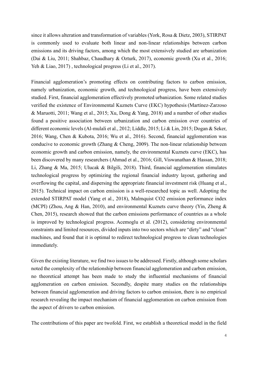since it allows alteration and transformation of variables (York, Rosa & Dietz, 2003), STIRPAT is commonly used to evaluate both linear and non-linear relationships between carbon emissions and its driving factors, among which the most extensively studied are urbanization (Dai & Liu, 2011; Shahbaz, Chaudhary & Ozturk, 2017), economic growth (Xu et al., 2016; Yeh & Liao, 2017), technological progress (Li et al., 2017).

Financial agglomeration's promoting effects on contributing factors to carbon emission, namely urbanization, economic growth, and technological progress, have been extensively studied. First, financial agglomeration effectively promoted urbanization. Some related studies verified the existence of Environmental Kuznets Curve (EKC) hypothesis (Martínez-Zarzoso & Maruotti, 2011; Wang et al., 2015; Xu, Dong & Yang, 2018) and a number of other studies found a positive association between urbanization and carbon emission over countries of different economic levels (Al-mulali et al., 2012; Liddle, 2015; Li & Lin, 2015; Dogan & Seker, 2016; Wang, Chen & Kubota, 2016; Wu et al., 2016). Second, financial agglomeration was conducive to economic growth (Zhang & Cheng, 2009). The non-linear relationship between economic growth and carbon emission, namely, the environmental Kuznets curve (EKC), has been discovered by many researchers (Ahmad et al., 2016; Gill, Viswanathan & Hassan, 2018; Li, Zhang & Ma, 2015; Ulucak & Bilgili, 2018). Third, financial agglomeration stimulates technological progress by optimizing the regional financial industry layout, gathering and overflowing the capital, and dispersing the appropriate financial investment risk (Huang et al., 2015). Technical impact on carbon emission is a well-researched topic as well. Adopting the extended STIRPAT model (Yang et al., 2018), Malmquist CO2 emission performance index (MCPI) (Zhou, Ang & Han, 2010), and environmental Kuznets curve theory (Yin, Zheng & Chen, 2015), research showed that the carbon emissions performance of countries as a whole is improved by technological progress. Acemoglu et al. (2012), considering environmental constraints and limited resources, divided inputs into two sectors which are "dirty" and "clean" machines, and found that it is optimal to redirect technological progress to clean technologies immediately.

Given the existing literature, we find two issues to be addressed. Firstly, although some scholars noted the complexity of the relationship between financial agglomeration and carbon emission, no theoretical attempt has been made to study the influential mechanisms of financial agglomeration on carbon emission. Secondly, despite many studies on the relationships between financial agglomeration and driving factors to carbon emission, there is no empirical research revealing the impact mechanism of financial agglomeration on carbon emission from the aspect of drivers to carbon emission.

The contributions of this paper are twofold. First, we establish a theoretical model in the field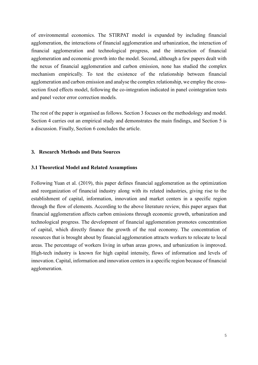of environmental economics. The STIRPAT model is expanded by including financial agglomeration, the interactions of financial agglomeration and urbanization, the interaction of financial agglomeration and technological progress, and the interaction of financial agglomeration and economic growth into the model. Second, although a few papers dealt with the nexus of financial agglomeration and carbon emission, none has studied the complex mechanism empirically. To test the existence of the relationship between financial agglomeration and carbon emission and analyse the complex relationship, we employ the crosssection fixed effects model, following the co-integration indicated in panel cointegration tests and panel vector error correction models.

The rest of the paper is organised as follows. Section 3 focuses on the methodology and model. Section 4 carries out an empirical study and demonstrates the main findings, and Section 5 is a discussion. Finally, Section 6 concludes the article.

## **3. Research Methods and Data Sources**

## **3.1 Theoretical Model and Related Assumptions**

Following Yuan et al. (2019), this paper defines financial agglomeration as the optimization and reorganization of financial industry along with its related industries, giving rise to the establishment of capital, information, innovation and market centers in a specific region through the flow of elements. According to the above literature review, this paper argues that financial agglomeration affects carbon emissions through economic growth, urbanization and technological progress. The development of financial agglomeration promotes concentration of capital, which directly finance the growth of the real economy. The concentration of resources that is brought about by financial agglomeration attracts workers to relocate to local areas. The percentage of workers living in urban areas grows, and urbanization is improved. High-tech industry is known for high capital intensity, flows of information and levels of innovation. Capital, information and innovation centers in a specific region because of financial agglomeration.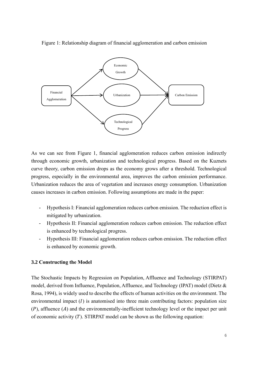

Figure 1: Relationship diagram of financial agglomeration and carbon emission

As we can see from Figure 1, financial agglomeration reduces carbon emission indirectly through economic growth, urbanization and technological progress. Based on the Kuznets curve theory, carbon emission drops as the economy grows after a threshold. Technological progress, especially in the environmental area, improves the carbon emission performance. Urbanization reduces the area of vegetation and increases energy consumption. Urbanization causes increases in carbon emission. Following assumptions are made in the paper:

- Hypothesis I: Financial agglomeration reduces carbon emission. The reduction effect is mitigated by urbanization.
- Hypothesis II: Financial agglomeration reduces carbon emission. The reduction effect is enhanced by technological progress.
- Hypothesis III: Financial agglomeration reduces carbon emission. The reduction effect is enhanced by economic growth.

## **3.2 Constructing the Model**

The Stochastic Impacts by Regression on Population, Affluence and Technology (STIRPAT) model, derived from Influence, Population, Affluence, and Technology (IPAT) model (Dietz & Rosa, 1994), is widely used to describe the effects of human activities on the environment. The environmental impact  $(I)$  is anatomised into three main contributing factors: population size  $(P)$ , affluence  $(A)$  and the environmentally-inefficient technology level or the impact per unit of economic activity  $(T)$ . STIRPAT model can be shown as the following equation: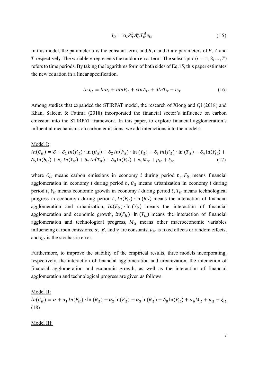$$
I_{it} = \alpha_i P_{it}^b A_{it}^c T_{it}^d e_{it} \tag{15}
$$

In this model, the parameter  $\alpha$  is the constant term, and b, c and d are parameters of P, A and T respectively. The variable e represents the random error term. The subscript  $i$  ( $i = 1, 2, ..., T$ ) refers to time periods. By taking the logarithms form of both sides of Eq.15, this paper estimates the new equation in a linear specification.

$$
ln I_{it} = ln \alpha_i + bln P_{it} + c ln A_{it} + dln T_{it} + e_{it}
$$
\n(16)

Among studies that expanded the STIRPAT model, the research of Xiong and Qi (2018) and Khan, Saleem & Fatima (2018) incorporated the financial sector's influence on carbon emission into the STIRPAT framework. In this paper, to explore financial agglomeration's influential mechanisms on carbon emissions, we add interactions into the models:

# Model Ⅰ:  $ln(C_{it}) = \delta + \delta_1 ln(F_{it}) \cdot ln(\theta_{it}) + \delta_2 ln(F_{it}) \cdot ln(Y_{it}) + \delta_3 ln(F_{it}) \cdot ln(T_{it}) + \delta_4 ln(F_{it}) +$  $\delta_5 \ln(\theta_{it}) + \delta_6 \ln(Y_{it}) + \delta_7 \ln(T_{it}) + \delta_8 \ln(P_{it}) + \delta_9 M_{it} + \mu_{it} + \xi_{it}$  (17)

where  $C_{it}$  means carbon emissions in economy *i* during period *t*,  $F_{it}$  means financial agglomeration in economy *i* during period  $t$ ,  $\theta_{it}$  means urbanization in economy *i* during period t,  $Y_{it}$  means economic growth in economy *i* during period t,  $T_{it}$  means technological progress in economy *i* during period *t*,  $ln(F_{it}) \cdot ln(\theta_{it})$  means the interaction of financial agglomeration and urbanization,  $ln(F_{it}) \cdot ln(Y_{it})$  means the interaction of financial agglomeration and economic growth,  $ln(F_{it}) \cdot ln(T_{it})$  means the interaction of financial agglomeration and technological progress,  $M_{it}$  means other macroeconomic variables influencing carbon emissions,  $\alpha$ ,  $\beta$ , and  $\gamma$  are constants,  $\mu_{it}$  is fixed effects or random effects, and  $\xi_{it}$  is the stochastic error.

Furthermore, to improve the stability of the empirical results, three models incorporating, respectively, the interaction of financial agglomeration and urbanization, the interaction of financial agglomeration and economic growth, as well as the interaction of financial agglomeration and technological progress are given as follows.

Model II:

 $ln(C_{it}) = \alpha + \alpha_1 ln(F_{it}) \cdot ln(\theta_{it}) + \alpha_2 ln(F_{it}) + \alpha_3 ln(\theta_{it}) + \delta_8 ln(P_{it}) + \alpha_6 M_{it} + \mu_{it} + \xi_{it}$ (18)

## Model III: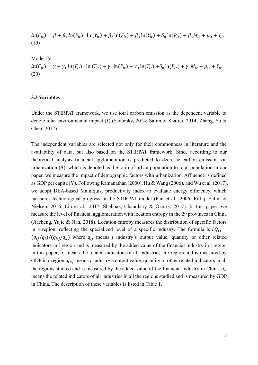$ln(C_{it}) = \beta + \beta_1 ln(F_{it}) \cdot ln(Y_{it}) + \beta_2 ln(F_{it}) + \beta_3 ln(Y_{it}) + \delta_8 ln(P_{it}) + \beta_6 M_{it} + \mu_{it} + \xi_{it}$ (19)

Model IV:  $ln(C_{it}) = \gamma + \gamma_1 ln(F_{it}) \cdot ln(T_{it}) + \gamma_2 ln(F_{it}) + \gamma_3 ln(T_{it}) + \delta_8 ln(P_{it}) + \gamma_6 M_{it} + \mu_{it} + \xi_{it}$ (20)

## **3.3 Variables**

Under the STIRPAT framework, we use total carbon emission as the dependent variable to denote total environmental impact (I) (Sadorsky, 2014; Salim & Shafiei, 2014; Zhang, Yu & Chen, 2017).

The independent variables are selected not only for their commonness in literature and the availability of data, but also based on the STIRPAT framework. Since according to our theoretical analysis financial agglomeration is predicted to decrease carbon emission via urbanization  $(\theta)$ , which is denoted as the ratio of urban population to total population in our paper, we measure the impact of demographic factors with urbanization. Affluence is defined as GDP per capita (Y). Following Ramanathan (2000), Hu & Wang (2006), and Wu et al. (2017), we adopt DEA-based Malmquist productivity index to evaluate energy efficiency, which measures technological progress in the STIRPAT model (Fan et al., 2006; Rafiq, Salim & Nielsen, 2016; Lin et al., 2017; Shahbaz, Chaudhary & Ozturk, 2017). In this paper, we measure the level of financial agglomeration with location entropy in the 29 provinces in China (Jiacheng, Yujie & Nan, 2018). Location entropy measures the distribution of specific factors in a region, reflecting the specialized level of a specific industry. The formula is  $LQ_{ii}$  =  $(q_{ij}/q_i)/(q_{ki}/q_k)$  where  $q_{ij}$  means *j* industry's output value, quantity or other related indicators in  $i$  region and is measured by the added value of the financial industry in  $i$  region in this paper;  $q_i$  means the related indicators of all industries in *i* region and is measured by GDP in  $i$  region,  $q_{kj}$  means  $j$  industry's output value, quantity or other related indicators in all the regions studied and is measured by the added value of the financial industry in China,  $q_k$ means the related indicators of all industries in all the regions studied and is measured by GDP in China. The description of these variables is listed in Table 1.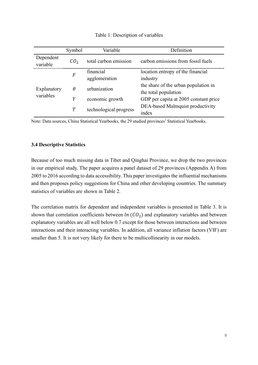|                          | Symbol                 | Variable                         | Definition                            |
|--------------------------|------------------------|----------------------------------|---------------------------------------|
| Dependent<br>variable    | CO <sub>2</sub>        | total carbon emission            | carbon emissions from fossil fuels    |
|                          | F                      | financial                        | location entropy of the financial     |
| Explanatory<br>variables |                        | agglomeration                    | industry                              |
|                          | θ                      | urbanization                     | the share of the urban population in  |
|                          |                        |                                  | the total population                  |
|                          | Y                      | economic growth                  | GDP per capita at 2005 constant price |
|                          | technological progress | DEA-based Malmquist productivity |                                       |
|                          |                        |                                  | index                                 |

## Table 1: Description of variables

Note: Data sources, China Statistical Yearbooks, the 29 studied provinces' Statistical Yearbooks.

## **3.4 Descriptive Statistics**

Because of too much missing data in Tibet and Qinghai Province, we drop the two provinces in our empirical study. The paper acquires a panel dataset of 29 provinces (Appendix A) from 2005 to 2016 according to data accessibility. This paper investigates the influential mechanisms and then proposes policy suggestions for China and other developing countries. The summary statistics of variables are shown in Table 2.

The correlation matrix for dependent and independent variables is presented in Table 3. It is shown that correlation coefficients between  $ln (CO<sub>2</sub>)$  and explanatory variables and between explanatory variables are all well below 0.7 except for those between interactions and between interactions and their interacting variables. In addition, all variance inflation factors (VIF) are smaller than 5. It is not very likely for there to be multicollinearity in our models.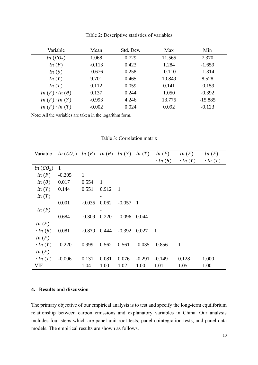| Variable                 | Mean     | Std. Dev. | Max      | Min       |
|--------------------------|----------|-----------|----------|-----------|
| ln (CO <sub>2</sub> )    | 1.068    | 0.729     | 11.565   | 7.370     |
| ln(F)                    | $-0.113$ | 0.423     | 1.284    | $-1.659$  |
| $ln(\theta)$             | $-0.676$ | 0.258     | $-0.110$ | $-1.314$  |
| ln(Y)                    | 9.701    | 0.465     | 10.849   | 8.528     |
| ln(T)                    | 0.112    | 0.059     | 0.141    | $-0.159$  |
| $ln(F) \cdot ln(\theta)$ | 0.137    | 0.244     | 1.050    | $-0.392$  |
| $ln(F) \cdot ln(Y)$      | $-0.993$ | 4.246     | 13.775   | $-15.885$ |
| $ln(F) \cdot ln(T)$      | $-0.002$ | 0.024     | 0.092    | $-0.123$  |

Table 2: Descriptive statistics of variables

Note: All the variables are taken in the logarithm form.

Table 3: Correlation matrix

| Variable              | $ln (CO_2)$ $ln (F)$ $ln (\theta)$ $ln (Y)$ |          |       |                | ln(T)    | ln(F)              | ln(F)          | ln(F)         |
|-----------------------|---------------------------------------------|----------|-------|----------------|----------|--------------------|----------------|---------------|
|                       |                                             |          |       |                |          | $\cdot ln(\theta)$ | $\cdot ln(Y)$  | $\cdot ln(T)$ |
| ln (CO <sub>2</sub> ) | $\mathbf{1}$                                |          |       |                |          |                    |                |               |
| ln(F)                 | $-0.205$                                    | 1        |       |                |          |                    |                |               |
| $ln(\theta)$          | 0.017                                       | 0.554    | -1    |                |          |                    |                |               |
| $ln(Y)$ 0.144         |                                             | 0.551    | 0.912 | $\overline{1}$ |          |                    |                |               |
| ln(T)                 |                                             |          |       |                |          |                    |                |               |
|                       | 0.001                                       | $-0.035$ | 0.062 | $-0.057$ 1     |          |                    |                |               |
| ln(P)                 |                                             |          |       |                |          |                    |                |               |
|                       | 0.684                                       | $-0.309$ | 0.220 | $-0.096$       | 0.044    |                    |                |               |
| ln(F)                 |                                             |          |       |                |          |                    |                |               |
| $\cdot ln(\theta)$    | 0.081                                       | $-0.879$ | 0.444 | $-0.392$       | 0.027    | $\blacksquare$     |                |               |
| ln(F)                 |                                             |          |       |                |          |                    |                |               |
| $\cdot ln(Y)$         | $-0.220$                                    | 0.999    | 0.562 | 0.561          | $-0.035$ | $-0.856$           | $\blacksquare$ |               |
| ln(F)                 |                                             |          |       |                |          |                    |                |               |
| $\cdot ln(T)$         | $-0.006$                                    | 0.131    | 0.081 | 0.076          | $-0.291$ | $-0.149$           | 0.128          | 1.000         |
| VIF                   |                                             | 1.04     | 1.00  | 1.02           | 1.00     | 1.01               | 1.05           | 1.00          |

## **4. Results and discussion**

The primary objective of our empirical analysis is to test and specify the long-term equilibrium relationship between carbon emissions and explanatory variables in China. Our analysis includes four steps which are panel unit root tests, panel cointegration tests, and panel data models. The empirical results are shown as follows.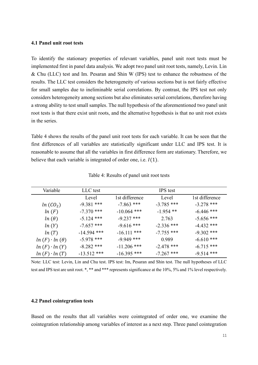## **4.1 Panel unit root tests**

To identify the stationary properties of relevant variables, panel unit root tests must be implemented first in panel data analysis. We adopt two panel unit root tests, namely, Levin. Lin & Chu (LLC) test and Im. Pesaran and Shin W (IPS) test to enhance the robustness of the results. The LLC test considers the heterogeneity of various sections but is not fairly effective for small samples due to ineliminable serial correlations. By contrast, the IPS test not only considers heterogeneity among sections but also eliminates serial correlations, therefore having a strong ability to test small samples. The null hypothesis of the aforementioned two panel unit root tests is that there exist unit roots, and the alternative hypothesis is that no unit root exists in the series.

Table 4 shows the results of the panel unit root tests for each variable. It can be seen that the first differences of all variables are statistically significant under LLC and IPS test. It is reasonable to assume that all the variables in first difference form are stationary. Therefore, we believe that each variable is integrated of order one, i.e.  $I(1)$ .

| Variable                 | LLC test      |                | <b>IPS</b> test |                |
|--------------------------|---------------|----------------|-----------------|----------------|
|                          | Level         | 1st difference | Level           | 1st difference |
| ln (CO <sub>2</sub> )    | $-9.381$ ***  | $-7.863$ ***   | $-3.785$ ***    | $-3.278$ ***   |
| ln(F)                    | $-7.370$ ***  | $-10.064$ ***  | $-1.954$ **     | $-6.446$ ***   |
| $ln(\theta)$             | $-5.124$ ***  | $-9.237$ ***   | 2.763           | $-5.656$ ***   |
| ln(Y)                    | $-7.657$ ***  | $-9.616$ ***   | $-2.336$ ***    | $-4.432$ ***   |
| ln(T)                    | $-14.594$ *** | $-16.111$ ***  | $-7.755$ ***    | $-9.302$ ***   |
| $ln(F) \cdot ln(\theta)$ | $-5.978$ ***  | $-9.949$ ***   | 0.989           | $-6.610$ ***   |
| $ln(F) \cdot ln(Y)$      | $-8.282$ ***  | $-11.206$ ***  | $-2.478$ ***    | $-6.715$ ***   |
| $ln(F) \cdot ln(T)$      | $-13.512$ *** | $-16.395$ ***  | $-7.267$ ***    | $-9.514$ ***   |

Table 4: Results of panel unit root tests

Note: LLC test: Levin, Lin and Chu test. IPS test: Im, Pesaran and Shin test. The null hypotheses of LLC test and IPS test are unit root. \*, \*\* and \*\*\* represents significance at the 10%, 5% and 1% level respectively.

#### **4.2 Panel cointegration tests**

Based on the results that all variables were cointegrated of order one, we examine the cointegration relationship among variables of interest as a next step. Three panel cointegration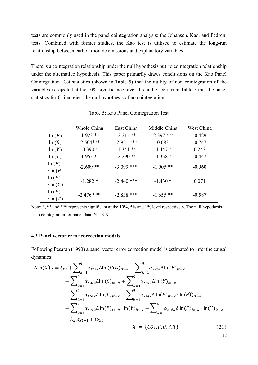tests are commonly used in the panel cointegration analysis: the Johansen, Kao, and Pedroni tests. Combined with former studies, the Kao test is utilised to estimate the long-run relationship between carbon dioxide emissions and explanatory variables.

There is a cointegration relationship under the null hypothesis but no cointegration relationship under the alternative hypothesis. This paper primarily draws conclusions on the Kao Panel Cointegration Test statistics (shown in Table 5) that the nullity of non-cointegration of the variables is rejected at the 10% significance level. It can be seen from Table 5 that the panel statistics for China reject the null hypothesis of no cointegration.

|                              | Whole China  | East China   | Middle China | West China |
|------------------------------|--------------|--------------|--------------|------------|
| ln(F)                        | $-1.923$ **  | $-2.211$ **  | $-2.397$ *** | $-0.429$   |
| $ln(\theta)$                 | $-2.504***$  | $-2.951$ *** | 0.083        | $-0.747$   |
| ln(Y)                        | $-0.390*$    | $-1.341$ **  | $-1.447*$    | 0.243      |
| ln(T)                        | $-1.953$ **  | $-2.290**$   | $-1.338*$    | $-0.447$   |
| ln(F)<br>$\cdot \ln(\theta)$ | $-2.609**$   | $-3.099$ *** | $-1.905$ **  | $-0.960$   |
| ln(F)<br>$\cdot \ln(Y)$      | $-1.282*$    | $-2.440$ *** | $-1.430*$    | 0.071      |
| ln(F)<br>$\cdot$ ln $(T)$    | $-2.476$ *** | $-2.838$ *** | $-1.655$ **  | $-0.587$   |

Table 5: Kao Panel Cointegration Test

Note: \*, \*\* and \*\*\* represents significant at the 10%, 5% and 1% level respectively. The null hypothesis is no cointegration for panel data.  $N = 319$ .

## **4.3 Panel vector error correction models**

Following Pesaran (1990) a panel vector error correction model is estimated to infer the causal dynamics:

$$
\Delta \ln(X)_{it} = \xi_{Xj} + \sum_{k=1}^{q} \alpha_{X1ik} \Delta \ln(CO_2)_{it-k} + \sum_{k=1}^{q} \alpha_{X2ik} \Delta \ln(F)_{it-k} \n+ \sum_{k=1}^{q} \alpha_{X3ik} \Delta \ln(\theta)_{it-k} + \sum_{k=1}^{q} \alpha_{X4ik} \Delta \ln(Y)_{it-k} \n+ \sum_{k=1}^{q} \alpha_{X5ik} \Delta \ln(T)_{it-k} + \sum_{k=1}^{q} \alpha_{X6ik} \Delta \ln(F)_{it-k} \cdot \ln(\theta)_{it-k} \n+ \sum_{k=1}^{q} \alpha_{X7ik} \Delta \ln(F)_{it-k} \cdot \ln(Y)_{it-k} + \sum_{k=1}^{q} \alpha_{X8ik} \Delta \ln(F)_{it-k} \cdot \ln(Y)_{it-k} \n+ \lambda_{Xi} \varepsilon_{Xt-1} + u_{Xit},
$$
\n
$$
X = \{CO_2, F, \theta, Y, T\}
$$
\n(21)

12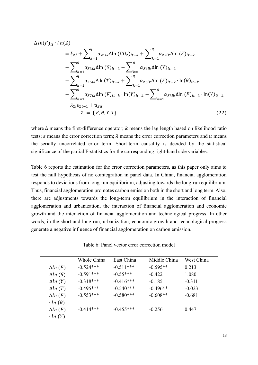$$
\Delta \ln(F)_{it} \cdot ln(Z)
$$
  
\n
$$
= \xi_{Zj} + \sum_{k=1}^{q} \alpha_{Z1ik} \Delta \ln (CO_2)_{it-k} + \sum_{k=1}^{q} \alpha_{Z2ik} \Delta \ln (F)_{it-k}
$$
  
\n
$$
+ \sum_{k=1}^{q} \alpha_{Z3ik} \Delta \ln (\theta)_{it-k} + \sum_{k=1}^{q} \alpha_{Z4ik} \Delta \ln (Y)_{it-k}
$$
  
\n
$$
+ \sum_{k=1}^{q} \alpha_{Z5ik} \Delta \ln(T)_{it-k} + \sum_{k=1}^{q} \alpha_{Z6ik} \Delta \ln (F)_{it-k} \cdot ln(\theta)_{it-k}
$$
  
\n
$$
+ \sum_{k=1}^{q} \alpha_{Z7ik} \Delta \ln (F)_{it-k} \cdot ln(Y)_{it-k} + \sum_{k=1}^{q} \alpha_{Z8ik} \Delta \ln (F)_{it-k} \cdot ln(Y)_{it-k}
$$
  
\n
$$
+ \lambda_{Zi} \varepsilon_{Zt-1} + u_{Zit}
$$
  
\n
$$
Z = \{F, \theta, Y, T\}
$$
 (22)

where  $\Delta$  means the first-difference operator;  $k$  means the lag length based on likelihood ratio tests;  $\varepsilon$  means the error correction term;  $\lambda$  means the error correction parameters and  $u$  means the serially uncorrelated error term. Short-term causality is decided by the statistical significance of the partial F-statistics for the corresponding right-hand side variables.

Table 6 reports the estimation for the error correction parameters, as this paper only aims to test the null hypothesis of no cointegration in panel data. In China, financial agglomeration responds to deviations from long-run equilibrium, adjusting towards the long-run equilibrium. Thus, financial agglomeration promotes carbon emission both in the short and long term. Also, there are adjustments towards the long-term equilibrium in the interaction of financial agglomeration and urbanization, the interaction of financial agglomeration and economic growth and the interaction of financial agglomeration and technological progress. In other words, in the short and long run, urbanization, economic growth and technological progress generate a negative influence of financial agglomeration on carbon emission.

Table 6: Panel vector error correction model

|                     | Whole China | East China  | Middle China | West China |
|---------------------|-------------|-------------|--------------|------------|
| $\Delta ln(F)$      | $-0.524***$ | $-0.511***$ | $-0.595**$   | 0.213      |
| $\Delta ln(\theta)$ | $-0.591***$ | $-0.55***$  | $-0.422$     | 1.080      |
| $\Delta ln(Y)$      | $-0.318***$ | $-0.416***$ | $-0.185$     | $-0.311$   |
| $\Delta ln(T)$      | $-0.495***$ | $-0.540***$ | $-0.496**$   | $-0.023$   |
| $\Delta ln(F)$      | $-0.553***$ | $-0.580***$ | $-0.608**$   | $-0.681$   |
| $\cdot ln(\theta)$  |             |             |              |            |
| $\Delta ln(F)$      | $-0.414***$ | $-0.455***$ | $-0.256$     | 0.447      |
| $\cdot ln(Y)$       |             |             |              |            |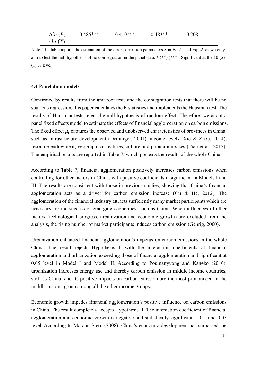| $\Delta ln(F)$ | $-0.486***$ | $-0.410***$ | $-0.483**$ | $-0.208$ |
|----------------|-------------|-------------|------------|----------|
| $\cdot ln(T)$  |             |             |            |          |

Note: The table reports the estimation of the error correction parameters  $\lambda$  in Eq.21 and Eq.22, as we only aim to test the null hypothesis of no cointegration in the panel data. \* (\*\*) (\*\*\*): Significant at the 10 (5)  $(1)$  % level.

## **4.4 Panel data models**

Confirmed by results from the unit root tests and the cointegration tests that there will be no spurious regression, this paper calculates the F-statistics and implements the Hausman test. The results of Hausman tests reject the null hypothesis of random effect. Therefore, we adopt a panel fixed effects model to estimate the effects of financial agglomeration on carbon emissions. The fixed effect  $\mu_i$  captures the observed and unobserved characteristics of provinces in China, such as infrastructure development (Démurger, 2001), income levels (Xie & Zhou, 2014), resource endowment, geographical features, culture and population sizes (Tian et al., 2017). The empirical results are reported in Table 7, which presents the results of the whole China.

According to Table 7, financial agglomeration positively increases carbon emissions when controlling for other factors in China, with positive coefficients insignificant in Models Ⅰ and Ⅲ. The results are consistent with those in previous studies, showing that China's financial agglomeration acts as a driver for carbon emission increase (Gu & He, 2012). The agglomeration of the financial industry attracts sufficiently many market participants which are necessary for the success of emerging economics, such as China. When influences of other factors (technological progress, urbanization and economic growth) are excluded from the analysis, the rising number of market participants induces carbon emission (Gehrig, 2000).

Urbanization enhanced financial agglomeration's impetus on carbon emissions in the whole China. The result rejects Hypothesis I, with the interaction coefficients of financial agglomeration and urbanization exceeding those of financial agglomeration and significant at 0.05 level in Model I and Model II. According to Poumanyvong and Kaneko (2010), urbanization increases energy use and thereby carbon emission in middle income countries, such as China, and its positive impacts on carbon emission are the most pronounced in the middle-income group among all the other income groups.

Economic growth impedes financial agglomeration's positive influence on carbon emissions in China. The result completely accepts Hypothesis II. The interaction coefficient of financial agglomeration and economic growth is negative and statistically significant at 0.1 and 0.05 level. According to Ma and Stern (2008), China's economic development has surpassed the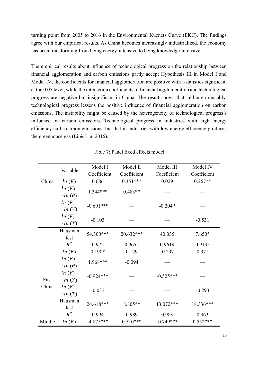turning point from 2005 to 2016 in the Environmental Kuznets Curve (EKC). The findings agree with our empirical results. As China becomes increasingly industrialized, the economy has been transforming from being energy-intensive to being knowledge-intensive.

The empirical results about influence of technological progress on the relationship between financial agglomeration and carbon emissions partly accept Hypothesis III in Model I and Model Ⅳ, the coefficients for financial agglomeration are positive with t-statistics significant at the 0.05 level, while the interaction coefficients of financial agglomeration and technological progress are negative but insignificant in China. The result shows that, although unstably, technological progress lessens the positive influence of financial agglomeration on carbon emissions. The instability might be caused by the heterogeneity of technological progress's influence on carbon emissions. Technological progress in industries with high energy efficiency curbs carbon emissions, but that in industries with low energy efficiency produces the greenhouse gas (Li & Lin, 2016).

|        | Variable            | Model I     | Model II    | Model III   | Model IV    |
|--------|---------------------|-------------|-------------|-------------|-------------|
|        |                     | Coefficient | Coefficient | Coefficient | Coefficient |
| China  | ln(F)               | 0.086       | $0.351***$  | 0.029       | $0.267**$   |
|        | ln(F)               | $1.344***$  | $0.483**$   |             |             |
|        | $\cdot \ln(\theta)$ |             |             |             |             |
|        | ln(F)               | $-0.691***$ |             | $-0.204*$   |             |
|        | $\cdot ln(Y)$       |             |             |             |             |
|        | ln(F)               | $-0.103$    |             |             | $-0.531$    |
|        | $\cdot ln(T)$       |             |             |             |             |
|        | Hausman             | 54.300***   | 20.632***   | 40.035      | $7.650*$    |
|        | test                |             |             |             |             |
|        | $R^2$               | 0.972       | 0.9655      | 0.9619      | 0.9135      |
|        | ln(F)               | $0.190*$    | 0.149       | $-0.237$    | 0.371       |
|        | ln(F)               | 1.968***    | $-0.094$    |             |             |
|        | $\cdot \ln(\theta)$ |             |             |             |             |
|        | ln(F)               | $-0.924***$ |             | $-0.525***$ |             |
| East   | $\cdot ln(Y)$       |             |             |             |             |
| China  | ln(F)               | $-0.031$    |             |             | $-0.293$    |
|        | $\cdot ln(T)$       |             |             |             |             |
|        | Hausman             | 24.618***   | 8.805**     | 13.072***   | 18.336***   |
|        | test                |             |             |             |             |
|        | $R^2$               | 0.994       | 0.989       | 0.983       | 0.963       |
| Middle | ln(F)               | $-4.875***$ | $0.510***$  | $-0.749***$ | $0.552***$  |

Table 7: Panel fixed effects model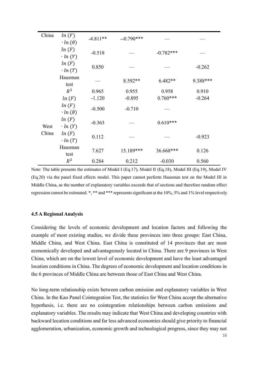| China | ln(F)               | $-4.811**$ | $-0.790***$ |             |          |  |
|-------|---------------------|------------|-------------|-------------|----------|--|
|       | $\cdot \ln(\theta)$ |            |             |             |          |  |
|       | ln(F)               | $-0.518$   |             | $-0.782***$ |          |  |
|       | $\cdot ln(Y)$       |            |             |             |          |  |
|       | ln(F)               | 0.850      |             |             | $-0.262$ |  |
|       | $\cdot ln(T)$       |            |             |             |          |  |
|       | Hausman             |            | $8.592**$   | 6.482**     | 9.388*** |  |
|       | test                |            |             |             |          |  |
|       | $R^2$               | 0.965      | 0.955       | 0.958       | 0.910    |  |
|       | ln(F)               | $-1.120$   | $-0.895$    | $0.760***$  | $-0.264$ |  |
|       | ln(F)               | $-0.500$   | $-0.710$    |             |          |  |
|       | $\cdot \ln(\theta)$ |            |             |             |          |  |
|       | ln(F)               |            |             | $0.610***$  |          |  |
| West  | $\cdot ln(Y)$       | $-0.363$   |             |             |          |  |
| China | ln(F)               |            |             |             |          |  |
|       | $\cdot ln(T)$       | 0.112      |             |             | $-0.923$ |  |
|       | Hausman             |            |             |             |          |  |
|       | test                | 7.627      | 15.189***   | 36.668***   | 0.126    |  |
|       | $R^2$               | 0.284      | 0.212       | $-0.030$    | 0.560    |  |

Note: The table presents the estimates of Model I (Eq.17), Model II (Eq.18), Model III (Eq.19), Model IV (Eq.20) via the panel fixed effects model. This paper cannot perform Hausman test on the Model III in Middle China, as the number of explanatory variables exceeds that of sections and therefore random effect regression cannot be estimated. \*, \*\* and \*\*\* represents significant at the 10%, 5% and 1% level respectively.

## **4.5 A Regional Analysis**

Considering the levels of economic development and location factors and following the example of most existing studies, we divide these provinces into three groups: East China, Middle China, and West China. East China is constituted of 14 provinces that are most economically developed and advantageously located in China. There are 9 provinces in West China, which are on the lowest level of economic development and have the least advantaged location conditions in China. The degrees of economic development and location conditions in the 6 provinces of Middle China are between those of East China and West China.

No long-term relationship exists between carbon emission and explanatory variables in West China. In the Kao Panel Cointegration Test, the statistics for West China accept the alternative hypothesis, i.e. there are no cointegration relationships between carbon emissions and explanatory variables. The results may indicate that West China and developing countries with backward location conditions and far less advanced economies should give priority to financial agglomeration, urbanization, economic growth and technological progress, since they may not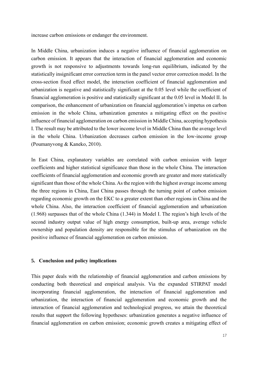increase carbon emissions or endanger the environment.

In Middle China, urbanization induces a negative influence of financial agglomeration on carbon emission. It appears that the interaction of financial agglomeration and economic growth is not responsive to adjustments towards long-run equilibrium, indicated by the statistically insignificant error correction term in the panel vector error correction model. In the cross-section fixed effect model, the interaction coefficient of financial agglomeration and urbanization is negative and statistically significant at the 0.05 level while the coefficient of financial agglomeration is positive and statistically significant at the 0.05 level in Model II. In comparison, the enhancement of urbanization on financial agglomeration's impetus on carbon emission in the whole China, urbanization generates a mitigating effect on the positive influence of financial agglomeration on carbon emission in Middle China, accepting hypothesis I. The result may be attributed to the lower income level in Middle China than the average level in the whole China. Urbanization decreases carbon emission in the low-income group (Poumanyvong & Kaneko, 2010).

In East China, explanatory variables are correlated with carbon emission with larger coefficients and higher statistical significance than those in the whole China. The interaction coefficients of financial agglomeration and economic growth are greater and more statistically significant than those of the whole China. As the region with the highest average income among the three regions in China, East China passes through the turning point of carbon emission regarding economic growth on the EKC to a greater extent than other regions in China and the whole China. Also, the interaction coefficient of financial agglomeration and urbanization (1.968) surpasses that of the whole China (1.344) in Model I. The region's high levels of the second industry output value of high energy consumption, built-up area, average vehicle ownership and population density are responsible for the stimulus of urbanization on the positive influence of financial agglomeration on carbon emission.

## **5. Conclusion and policy implications**

This paper deals with the relationship of financial agglomeration and carbon emissions by conducting both theoretical and empirical analysis. Via the expanded STIRPAT model incorporating financial agglomeration, the interaction of financial agglomeration and urbanization, the interaction of financial agglomeration and economic growth and the interaction of financial agglomeration and technological progress, we attain the theoretical results that support the following hypotheses: urbanization generates a negative influence of financial agglomeration on carbon emission; economic growth creates a mitigating effect of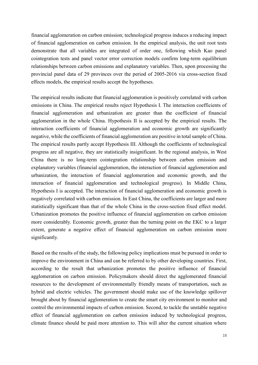financial agglomeration on carbon emission; technological progress induces a reducing impact of financial agglomeration on carbon emission. In the empirical analysis, the unit root tests demonstrate that all variables are integrated of order one, following which Kao panel cointegration tests and panel vector error correction models confirm long-term equilibrium relationships between carbon emissions and explanatory variables. Then, upon processing the provincial panel data of 29 provinces over the period of 2005-2016 via cross-section fixed effects models, the empirical results accept the hypotheses.

The empirical results indicate that financial agglomeration is positively correlated with carbon emissions in China. The empirical results reject Hypothesis I. The interaction coefficients of financial agglomeration and urbanization are greater than the coefficient of financial agglomeration in the whole China. Hypothesis II is accepted by the empirical results. The interaction coefficients of financial agglomeration and economic growth are significantly negative, while the coefficients of financial agglomeration are positive in total sample of China. The empirical results partly accept Hypothesis III. Although the coefficients of technological progress are all negative, they are statistically insignificant. In the regional analysis, in West China there is no long-term cointegration relationship between carbon emission and explanatory variables (financial agglomeration, the interaction of financial agglomeration and urbanization, the interaction of financial agglomeration and economic growth, and the interaction of financial agglomeration and technological progress). In Middle China, Hypothesis I is accepted. The interaction of financial agglomeration and economic growth is negatively correlated with carbon emission. In East China, the coefficients are larger and more statistically significant than that of the whole China in the cross-section fixed effect model. Urbanization promotes the positive influence of financial agglomeration on carbon emission more considerably. Economic growth, greater than the turning point on the EKC to a larger extent, generate a negative effect of financial agglomeration on carbon emission more significantly.

Based on the results of the study, the following policy implications must be pursued in order to improve the environment in China and can be referred to by other developing countries. First, according to the result that urbanization promotes the positive influence of financial agglomeration on carbon emission. Policymakers should direct the agglomerated financial resources to the development of environmentally friendly means of transportation, such as hybrid and electric vehicles. The government should make use of the knowledge spillover brought about by financial agglomeration to create the smart city environment to monitor and control the environmental impacts of carbon emission. Second, to tackle the unstable negative effect of financial agglomeration on carbon emission induced by technological progress, climate finance should be paid more attention to. This will alter the current situation where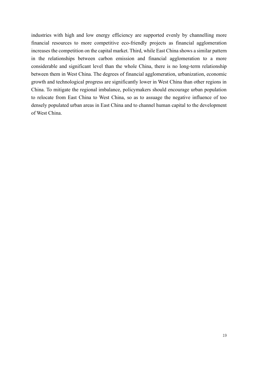industries with high and low energy efficiency are supported evenly by channelling more financial resources to more competitive eco-friendly projects as financial agglomeration increases the competition on the capital market. Third, while East China shows a similar pattern in the relationships between carbon emission and financial agglomeration to a more considerable and significant level than the whole China, there is no long-term relationship between them in West China. The degrees of financial agglomeration, urbanization, economic growth and technological progress are significantly lower in West China than other regions in China. To mitigate the regional imbalance, policymakers should encourage urban population to relocate from East China to West China, so as to assuage the negative influence of too densely populated urban areas in East China and to channel human capital to the development of West China.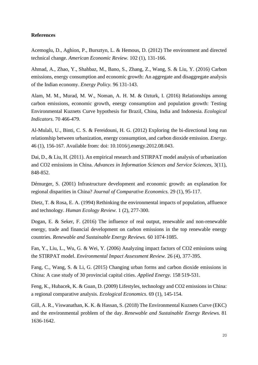## **References**

Acemoglu, D., Aghion, P., Bursztyn, L. & Hemous, D. (2012) The environment and directed technical change. *American Economic Review.* 102 (1), 131-166.

Ahmad, A., Zhao, Y., Shahbaz, M., Bano, S., Zhang, Z., Wang, S. & Liu, Y. (2016) Carbon emissions, energy consumption and economic growth: An aggregate and disaggregate analysis of the Indian economy. *Energy Policy.* 96 131-143.

Alam, M. M., Murad, M. W., Noman, A. H. M. & Ozturk, I. (2016) Relationships among carbon emissions, economic growth, energy consumption and population growth: Testing Environmental Kuznets Curve hypothesis for Brazil, China, India and Indonesia. *Ecological Indicators.* 70 466-479.

Al-Mulali, U., Binti, C. S. & Fereidouni, H. G. (2012) Exploring the bi-directional long run relationship between urbanization, energy consumption, and carbon dioxide emission. *Energy*. 46 (1), 156-167. Available from: doi: 10.1016/j.energy.2012.08.043.

Dai, D., & Liu, H. (2011). An empirical research and STIRPAT model analysis of urbanization and CO2 emissions in China. *Advances in Information Sciences and Service Sciences*, 3(11), 848-852.

Démurger, S. (2001) Infrastructure development and economic growth: an explanation for regional disparities in China? *Journal of Comparative Economics.* 29 (1), 95-117.

Dietz, T. & Rosa, E. A. (1994) Rethinking the environmental impacts of population, affluence and technology. *Human Ecology Review.* 1 (2), 277-300.

Dogan, E. & Seker, F. (2016) The influence of real output, renewable and non-renewable energy, trade and financial development on carbon emissions in the top renewable energy countries. *Renewable and Sustainable Energy Reviews.* 60 1074-1085.

Fan, Y., Liu, L., Wu, G. & Wei, Y. (2006) Analyzing impact factors of CO2 emissions using the STIRPAT model. *Environmental Impact Assessment Review.* 26 (4), 377-395.

Fang, C., Wang, S. & Li, G. (2015) Changing urban forms and carbon dioxide emissions in China: A case study of 30 provincial capital cities. *Applied Energy.* 158 519-531.

Feng, K., Hubacek, K. & Guan, D. (2009) Lifestyles, technology and CO2 emissions in China: a regional comparative analysis. *Ecological Economics.* 69 (1), 145-154.

Gill, A. R., Viswanathan, K. K. & Hassan, S. (2018) The Environmental Kuznets Curve (EKC) and the environmental problem of the day. *Renewable and Sustainable Energy Reviews.* 81 1636-1642.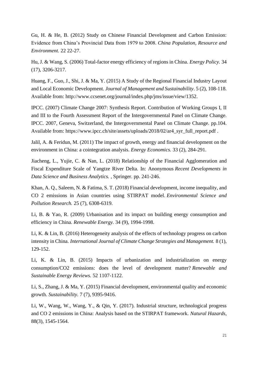Gu, H. & He, B. (2012) Study on Chinese Financial Development and Carbon Emission: Evidence from China's Provincial Data from 1979 to 2008. *China Population, Resource and Environment.* 22 22-27.

Hu, J. & Wang, S. (2006) Total-factor energy efficiency of regions in China. *Energy Policy.* 34 (17), 3206-3217.

Huang, F., Guo, J., Shi, J. & Ma, Y. (2015) A Study of the Regional Financial Industry Layout and Local Economic Development. *Journal of Management and Sustainability*. 5 (2), 108-118. Available from: http://www.ccsenet.org/journal/index.php/jms/issue/view/1352.

IPCC. (2007) Climate Change 2007: Synthesis Report. Contribution of Working Groups I, II and III to the Fourth Assessment Report of the Intergovernmental Panel on Climate Change. IPCC. 2007, Geneva, Switzerland, the Intergovernmental Panel on Climate Change. pp.104. Available from: https://www.ipcc.ch/site/assets/uploads/2018/02/ar4\_syr\_full\_report.pdf .

Jalil, A. & Feridun, M. (2011) The impact of growth, energy and financial development on the environment in China: a cointegration analysis. *Energy Economics.* 33 (2), 284-291.

Jiacheng, L., Yujie, C. & Nan, L. (2018) Relationship of the Financial Agglomeration and Fiscal Expenditure Scale of Yangtze River Delta. In: Anonymous *Recent Developments in Data Science and Business Analytics.* , Springer. pp. 241-246.

Khan, A. Q., Saleem, N. & Fatima, S. T. (2018) Financial development, income inequality, and CO 2 emissions in Asian countries using STIRPAT model. *Environmental Science and Pollution Research.* 25 (7), 6308-6319.

Li, B. & Yao, R. (2009) Urbanisation and its impact on building energy consumption and efficiency in China. *Renewable Energy.* 34 (9), 1994-1998.

Li, K. & Lin, B. (2016) Heterogeneity analysis of the effects of technology progress on carbon intensity in China. *International Journal of Climate Change Strategies and Management.* 8 (1), 129-152.

Li, K. & Lin, B. (2015) Impacts of urbanization and industrialization on energy consumption/CO2 emissions: does the level of development matter? *Renewable and Sustainable Energy Reviews.* 52 1107-1122.

Li, S., Zhang, J. & Ma, Y. (2015) Financial development, environmental quality and economic growth. *Sustainability.* 7 (7), 9395-9416.

Li, W., Wang, W., Wang, Y., & Qin, Y. (2017). Industrial structure, technological progress and CO 2 emissions in China: Analysis based on the STIRPAT framework. *Natural Hazards*, 88(3), 1545-1564.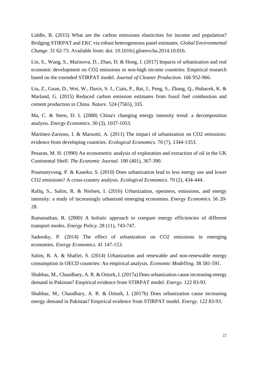Liddle, B. (2015) What are the carbon emissions elasticities for income and population? Bridging STIRPAT and EKC via robust heterogeneous panel estimates. *Global Environmental Change*. 31 62-73. Available from: doi: 10.1016/j.gloenvcha.2014.10.016.

Lin, S., Wang, S., Marinova, D., Zhao, D. & Hong, J. (2017) Impacts of urbanization and real economic development on CO2 emissions in non-high income countries: Empirical research based on the extended STIRPAT model. *Journal of Cleaner Production.* 166 952-966.

Liu, Z., Guan, D., Wei, W., Davis, S. J., Ciais, P., Bai, J., Peng, S., Zhang, Q., Hubacek, K. & Marland, G. (2015) Reduced carbon emission estimates from fossil fuel combustion and cement production in China. *Nature.* 524 (7565), 335.

Ma, C. & Stern, D. I. (2008) China's changing energy intensity trend: a decomposition analysis. *Energy Economics.* 30 (3), 1037-1053.

Martínez-Zarzoso, I. & Maruotti, A. (2011) The impact of urbanization on CO2 emissions: evidence from developing countries. *Ecological Economics.* 70 (7), 1344-1353.

Pesaran, M. H. (1990) An econometric analysis of exploration and extraction of oil in the UK Continental Shelf. *The Economic Journal.* 100 (401), 367-390.

Poumanyvong, P. & Kaneko, S. (2010) Does urbanization lead to less energy use and lower CO2 emissions? A cross-country analysis. *Ecological Economics.* 70 (2), 434-444.

Rafiq, S., Salim, R. & Nielsen, I. (2016) Urbanization, openness, emissions, and energy intensity: a study of increasingly urbanized emerging economies. *Energy Economics.* 56 20- 28.

Ramanathan, R. (2000) A holistic approach to compare energy efficiencies of different transport modes. *Energy Policy.* 28 (11), 743-747.

Sadorsky, P. (2014) The effect of urbanization on CO2 emissions in emerging economies. *Energy Economics.* 41 147-153.

Salim, R. A. & Shafiei, S. (2014) Urbanization and renewable and non-renewable energy consumption in OECD countries: An empirical analysis. *Economic Modelling.* 38 581-591.

Shahbaz, M., Chaudhary, A. R. & Ozturk, I. (2017a) Does urbanization cause increasing energy demand in Pakistan? Empirical evidence from STIRPAT model. *Energy.* 122 83-93.

Shahbaz, M., Chaudhary, A. R. & Ozturk, I. (2017b) Does urbanization cause increasing energy demand in Pakistan? Empirical evidence from STIRPAT model. *Energy.* 122 83-93.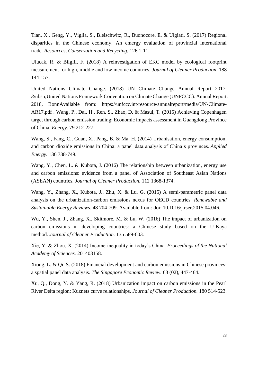Tian, X., Geng, Y., Viglia, S., Bleischwitz, R., Buonocore, E. & Ulgiati, S. (2017) Regional disparities in the Chinese economy. An emergy evaluation of provincial international trade. *Resources, Conservation and Recycling.* 126 1-11.

Ulucak, R. & Bilgili, F. (2018) A reinvestigation of EKC model by ecological footprint measurement for high, middle and low income countries. *Journal of Cleaner Production.* 188 144-157.

United Nations Climate Change. (2018) UN Climate Change Annual Report 2017. United Nations Framework Convention on Climate Change (UNFCCC). Annual Report. 2018, BonnAvailable from: https://unfccc.int/resource/annualreport/media/UN-Climate-AR17.pdf . Wang, P., Dai, H., Ren, S., Zhao, D. & Masui, T. (2015) Achieving Copenhagen target through carbon emission trading: Economic impacts assessment in Guangdong Province of China. *Energy.* 79 212-227.

Wang, S., Fang, C., Guan, X., Pang, B. & Ma, H. (2014) Urbanisation, energy consumption, and carbon dioxide emissions in China: a panel data analysis of China's provinces. *Applied Energy.* 136 738-749.

Wang, Y., Chen, L. & Kubota, J. (2016) The relationship between urbanization, energy use and carbon emissions: evidence from a panel of Association of Southeast Asian Nations (ASEAN) countries. *Journal of Cleaner Production.* 112 1368-1374.

Wang, Y., Zhang, X., Kubota, J., Zhu, X. & Lu, G. (2015) A semi-parametric panel data analysis on the urbanization-carbon emissions nexus for OECD countries. *Renewable and Sustainable Energy Reviews*. 48 704-709. Available from: doi: 10.1016/j.rser.2015.04.046.

Wu, Y., Shen, J., Zhang, X., Skitmore, M. & Lu, W. (2016) The impact of urbanization on carbon emissions in developing countries: a Chinese study based on the U-Kaya method. *Journal of Cleaner Production.* 135 589-603.

Xie, Y. & Zhou, X. (2014) Income inequality in today's China. *Proceedings of the National Academy of Sciences.* 201403158.

Xiong, L. & Qi, S. (2018) Financial development and carbon emissions in Chinese provinces: a spatial panel data analysis. *The Singapore Economic Review.* 63 (02), 447-464.

Xu, Q., Dong, Y. & Yang, R. (2018) Urbanization impact on carbon emissions in the Pearl River Delta region: Kuznets curve relationships. *Journal of Cleaner Production.* 180 514-523.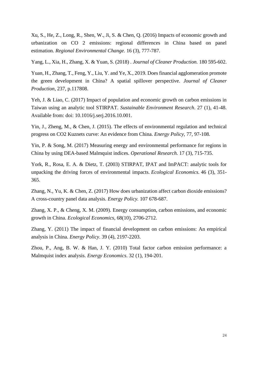Xu, S., He, Z., Long, R., Shen, W., Ji, S. & Chen, Q. (2016) Impacts of economic growth and urbanization on CO 2 emissions: regional differences in China based on panel estimation. *Regional Environmental Change.* 16 (3), 777-787.

Yang, L., Xia, H., Zhang, X. & Yuan, S. (2018) . *Journal of Cleaner Production.* 180 595-602.

Yuan, H., Zhang, T., Feng, Y., Liu, Y. and Ye, X., 2019. Does financial agglomeration promote the green development in China? A spatial spillover perspective. *Journal of Cleaner Production*, 237, p.117808.

Yeh, J. & Liao, C. (2017) Impact of population and economic growth on carbon emissions in Taiwan using an analytic tool STIRPAT. *Sustainable Environment Research*. 27 (1), 41-48. Available from: doi: 10.1016/j.serj.2016.10.001.

Yin, J., Zheng, M., & Chen, J. (2015). The effects of environmental regulation and technical progress on CO2 Kuznets curve: An evidence from China. *Energy Policy*, 77, 97-108.

Yin, P. & Song, M. (2017) Measuring energy and environmental performance for regions in China by using DEA-based Malmquist indices. *Operational Research.* 17 (3), 715-735.

York, R., Rosa, E. A. & Dietz, T. (2003) STIRPAT, IPAT and ImPACT: analytic tools for unpacking the driving forces of environmental impacts. *Ecological Economics.* 46 (3), 351- 365.

Zhang, N., Yu, K. & Chen, Z. (2017) How does urbanization affect carbon dioxide emissions? A cross-country panel data analysis. *Energy Policy.* 107 678-687.

Zhang, X. P., & Cheng, X. M. (2009). Energy consumption, carbon emissions, and economic growth in China. *Ecological Economics*, 68(10), 2706-2712.

Zhang, Y. (2011) The impact of financial development on carbon emissions: An empirical analysis in China. *Energy Policy*. 39 (4), 2197-2203.

Zhou, P., Ang, B. W. & Han, J. Y. (2010) Total factor carbon emission performance: a Malmquist index analysis. *Energy Economics*. 32 (1), 194-201.